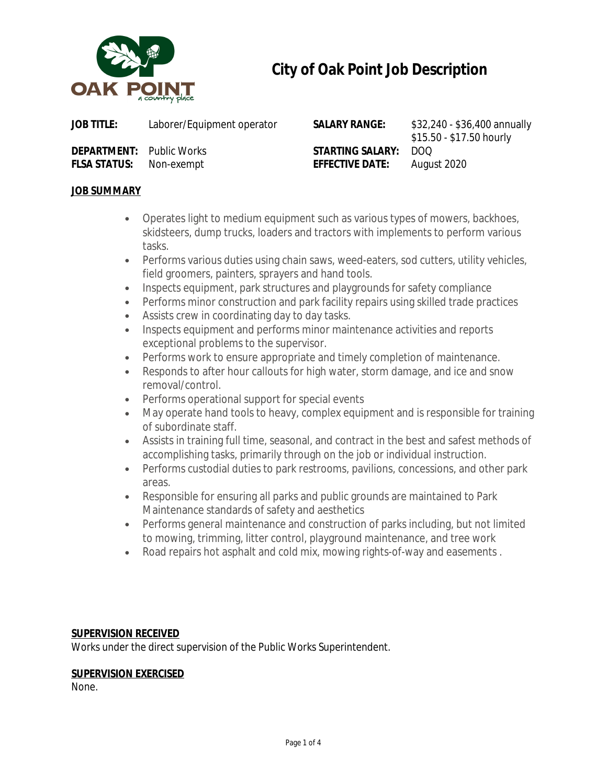

# **City of Oak Point Job Description**

**DEPARTMENT:** Public Works **STARTING SALARY:** DOQ **FLSA STATUS:** Non-exempt **EFFECTIVE DATE:** August 2020

**SALARY RANGE:** \$32,240 - \$36,400 annually \$15.50 - \$17.50 hourly

# **JOB SUMMARY**

- Operates light to medium equipment such as various types of mowers, backhoes, skidsteers, dump trucks, loaders and tractors with implements to perform various tasks.
- Performs various duties using chain saws, weed-eaters, sod cutters, utility vehicles, field groomers, painters, sprayers and hand tools.
- Inspects equipment, park structures and playgrounds for safety compliance
- Performs minor construction and park facility repairs using skilled trade practices
- Assists crew in coordinating day to day tasks.
- Inspects equipment and performs minor maintenance activities and reports exceptional problems to the supervisor.
- Performs work to ensure appropriate and timely completion of maintenance.
- Responds to after hour callouts for high water, storm damage, and ice and snow removal/control.
- Performs operational support for special events
- May operate hand tools to heavy, complex equipment and is responsible for training of subordinate staff.
- Assists in training full time, seasonal, and contract in the best and safest methods of accomplishing tasks, primarily through on the job or individual instruction.
- Performs custodial duties to park restrooms, pavilions, concessions, and other park areas.
- Responsible for ensuring all parks and public grounds are maintained to Park Maintenance standards of safety and aesthetics
- Performs general maintenance and construction of parks including, but not limited to mowing, trimming, litter control, playground maintenance, and tree work
- Road repairs hot asphalt and cold mix, mowing rights-of-way and easements .

# **SUPERVISION RECEIVED**

Works under the direct supervision of the Public Works Superintendent.

## **SUPERVISION EXERCISED**

None.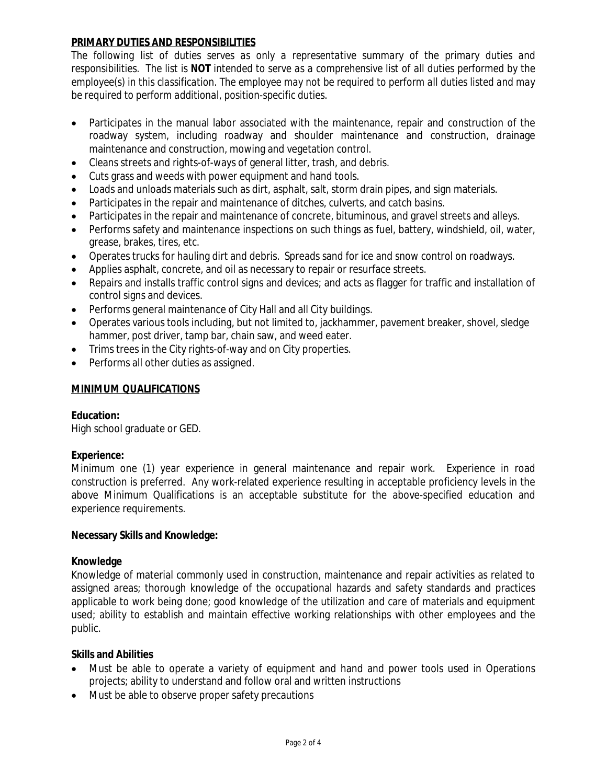## **PRIMARY DUTIES AND RESPONSIBILITIES**

*The following list of duties serves as only a representative summary of the primary duties and* responsibilities. The list is NOT intended to serve as a comprehensive list of all duties performed by the *employee(s) in this classification. The employee may not be required to perform all duties listed and may be required to perform additional, position-specific duties.*

- Participates in the manual labor associated with the maintenance, repair and construction of the roadway system, including roadway and shoulder maintenance and construction, drainage maintenance and construction, mowing and vegetation control.
- Cleans streets and rights-of-ways of general litter, trash, and debris.
- Cuts grass and weeds with power equipment and hand tools.
- Loads and unloads materials such as dirt, asphalt, salt, storm drain pipes, and sign materials.
- Participates in the repair and maintenance of ditches, culverts, and catch basins.
- Participates in the repair and maintenance of concrete, bituminous, and gravel streets and alleys.
- Performs safety and maintenance inspections on such things as fuel, battery, windshield, oil, water, grease, brakes, tires, etc.
- Operates trucks for hauling dirt and debris. Spreads sand for ice and snow control on roadways.
- Applies asphalt, concrete, and oil as necessary to repair or resurface streets.
- Repairs and installs traffic control signs and devices; and acts as flagger for traffic and installation of control signs and devices.
- Performs general maintenance of City Hall and all City buildings.
- Operates various tools including, but not limited to, jackhammer, pavement breaker, shovel, sledge hammer, post driver, tamp bar, chain saw, and weed eater.
- Trims trees in the City rights-of-way and on City properties.
- Performs all other duties as assigned.

## **MINIMUM QUALIFICATIONS**

## **Education:**

High school graduate or GED.

## **Experience:**

Minimum one (1) year experience in general maintenance and repair work. Experience in road construction is preferred. Any work-related experience resulting in acceptable proficiency levels in the above Minimum Qualifications is an acceptable substitute for the above-specified education and experience requirements.

#### **Necessary Skills and Knowledge:**

#### **Knowledge**

Knowledge of material commonly used in construction, maintenance and repair activities as related to assigned areas; thorough knowledge of the occupational hazards and safety standards and practices applicable to work being done; good knowledge of the utilization and care of materials and equipment used; ability to establish and maintain effective working relationships with other employees and the public.

#### **Skills and Abilities**

- Must be able to operate a variety of equipment and hand and power tools used in Operations projects; ability to understand and follow oral and written instructions
- Must be able to observe proper safety precautions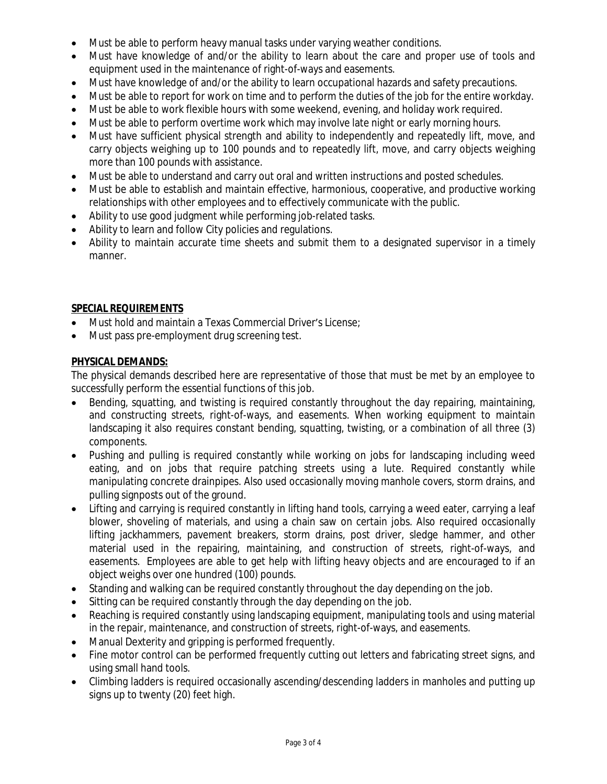- Must be able to perform heavy manual tasks under varying weather conditions.
- Must have knowledge of and/or the ability to learn about the care and proper use of tools and equipment used in the maintenance of right-of-ways and easements.
- Must have knowledge of and/or the ability to learn occupational hazards and safety precautions.
- Must be able to report for work on time and to perform the duties of the job for the entire workday.
- Must be able to work flexible hours with some weekend, evening, and holiday work required.
- Must be able to perform overtime work which may involve late night or early morning hours.
- Must have sufficient physical strength and ability to independently and repeatedly lift, move, and carry objects weighing up to 100 pounds and to repeatedly lift, move, and carry objects weighing more than 100 pounds with assistance.
- Must be able to understand and carry out oral and written instructions and posted schedules.
- Must be able to establish and maintain effective, harmonious, cooperative, and productive working relationships with other employees and to effectively communicate with the public.
- Ability to use good judgment while performing job-related tasks.
- Ability to learn and follow City policies and regulations.
- Ability to maintain accurate time sheets and submit them to a designated supervisor in a timely manner.

# **SPECIAL REQUIREMENTS**

- Must hold and maintain a Texas Commercial Driver's License;
- Must pass pre-employment drug screening test.

# **PHYSICAL DEMANDS:**

The physical demands described here are representative of those that must be met by an employee to successfully perform the essential functions of this job.

- Bending, squatting, and twisting is required constantly throughout the day repairing, maintaining, and constructing streets, right-of-ways, and easements. When working equipment to maintain landscaping it also requires constant bending, squatting, twisting, or a combination of all three (3) components.
- Pushing and pulling is required constantly while working on jobs for landscaping including weed eating, and on jobs that require patching streets using a lute. Required constantly while manipulating concrete drainpipes. Also used occasionally moving manhole covers, storm drains, and pulling signposts out of the ground.
- Lifting and carrying is required constantly in lifting hand tools, carrying a weed eater, carrying a leaf blower, shoveling of materials, and using a chain saw on certain jobs. Also required occasionally lifting jackhammers, pavement breakers, storm drains, post driver, sledge hammer, and other material used in the repairing, maintaining, and construction of streets, right-of-ways, and easements. Employees are able to get help with lifting heavy objects and are encouraged to if an object weighs over one hundred (100) pounds.
- Standing and walking can be required constantly throughout the day depending on the job.
- Sitting can be required constantly through the day depending on the job.
- Reaching is required constantly using landscaping equipment, manipulating tools and using material in the repair, maintenance, and construction of streets, right-of-ways, and easements.
- Manual Dexterity and gripping is performed frequently.
- Fine motor control can be performed frequently cutting out letters and fabricating street signs, and using small hand tools.
- Climbing ladders is required occasionally ascending/descending ladders in manholes and putting up signs up to twenty (20) feet high.